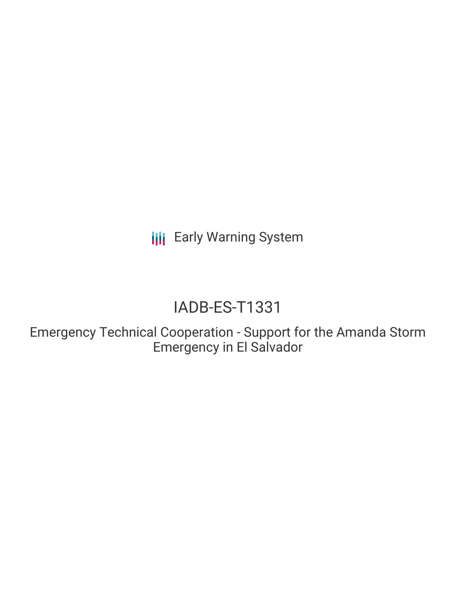**III** Early Warning System

# IADB-ES-T1331

Emergency Technical Cooperation - Support for the Amanda Storm Emergency in El Salvador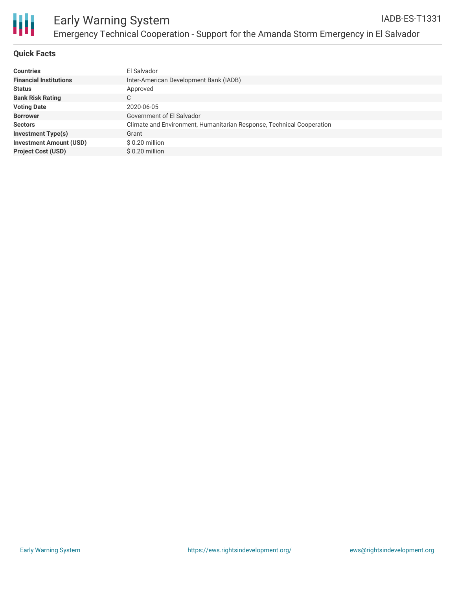

#### **Quick Facts**

| <b>Countries</b>               | El Salvador                                                           |
|--------------------------------|-----------------------------------------------------------------------|
| <b>Financial Institutions</b>  | Inter-American Development Bank (IADB)                                |
| <b>Status</b>                  | Approved                                                              |
| <b>Bank Risk Rating</b>        | C                                                                     |
| <b>Voting Date</b>             | 2020-06-05                                                            |
| <b>Borrower</b>                | Government of El Salvador                                             |
| <b>Sectors</b>                 | Climate and Environment, Humanitarian Response, Technical Cooperation |
| <b>Investment Type(s)</b>      | Grant                                                                 |
| <b>Investment Amount (USD)</b> | \$0.20 million                                                        |
| <b>Project Cost (USD)</b>      | $$0.20$ million                                                       |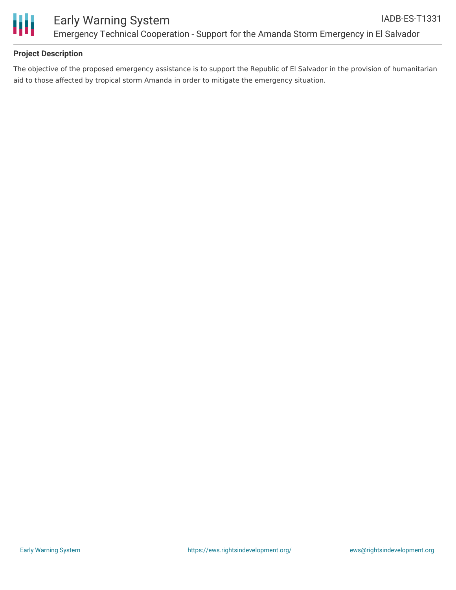

#### **Project Description**

The objective of the proposed emergency assistance is to support the Republic of El Salvador in the provision of humanitarian aid to those affected by tropical storm Amanda in order to mitigate the emergency situation.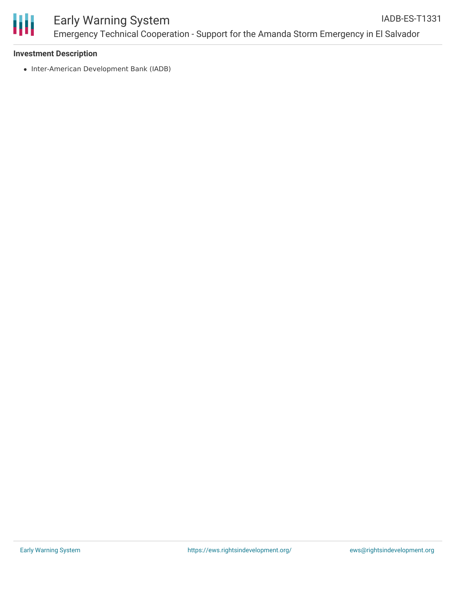

#### Early Warning System Emergency Technical Cooperation - Support for the Amanda Storm Emergency in El Salvador IADB-ES-T1331

#### **Investment Description**

• Inter-American Development Bank (IADB)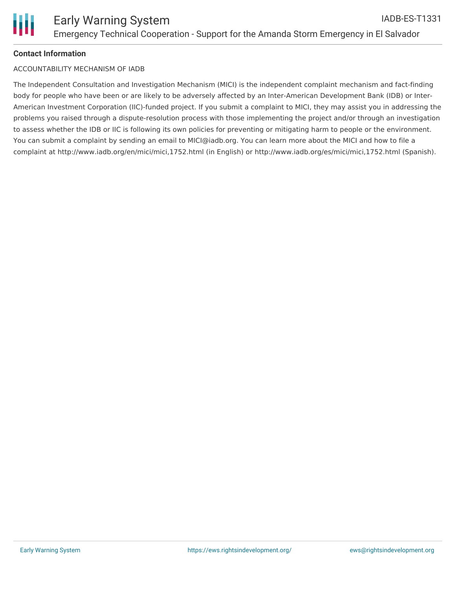## **Contact Information**

### ACCOUNTABILITY MECHANISM OF IADB

The Independent Consultation and Investigation Mechanism (MICI) is the independent complaint mechanism and fact-finding body for people who have been or are likely to be adversely affected by an Inter-American Development Bank (IDB) or Inter-American Investment Corporation (IIC)-funded project. If you submit a complaint to MICI, they may assist you in addressing the problems you raised through a dispute-resolution process with those implementing the project and/or through an investigation to assess whether the IDB or IIC is following its own policies for preventing or mitigating harm to people or the environment. You can submit a complaint by sending an email to MICI@iadb.org. You can learn more about the MICI and how to file a complaint at http://www.iadb.org/en/mici/mici,1752.html (in English) or http://www.iadb.org/es/mici/mici,1752.html (Spanish).